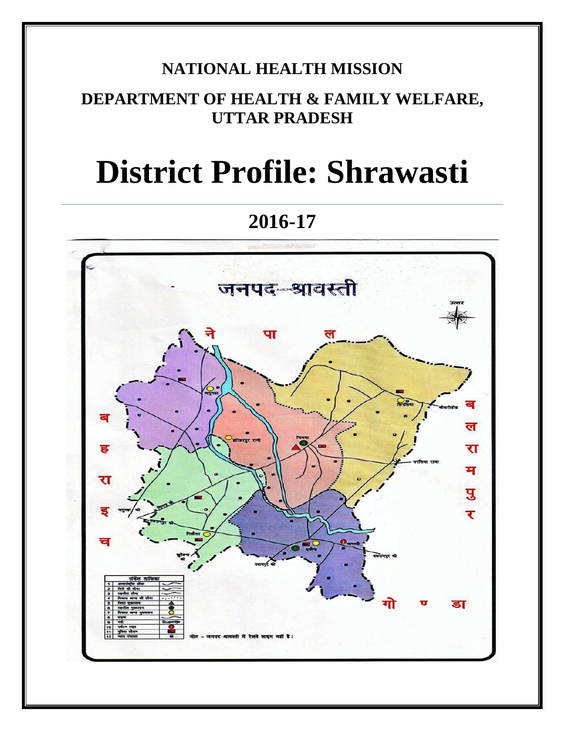## **NATIONAL HEALTH MISSION**

## **DEPARTMENT OF HEALTH & FAMILY WELFARE, UTTAR PRADESH**

# **District Profile: Shrawasti**

**2016-17**

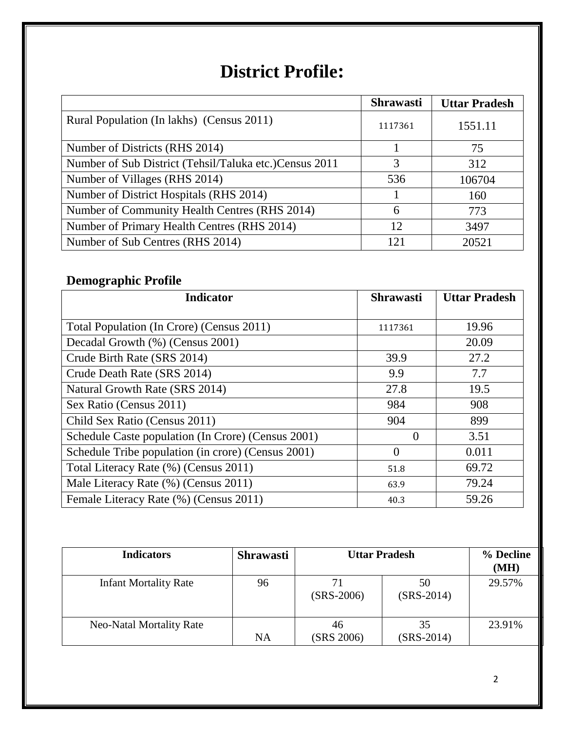## **District Profile:**

|                                                         | <b>Shrawasti</b> | <b>Uttar Pradesh</b> |
|---------------------------------------------------------|------------------|----------------------|
| Rural Population (In lakhs) (Census 2011)               | 1117361          | 1551.11              |
| Number of Districts (RHS 2014)                          |                  | 75                   |
| Number of Sub District (Tehsil/Taluka etc.) Census 2011 | 3                | 312                  |
| Number of Villages (RHS 2014)                           | 536              | 106704               |
| Number of District Hospitals (RHS 2014)                 |                  | 160                  |
| Number of Community Health Centres (RHS 2014)           | 6                | 773                  |
| Number of Primary Health Centres (RHS 2014)             | 12               | 3497                 |
| Number of Sub Centres (RHS 2014)                        | 121              | 20521                |

## **Demographic Profile**

| <b>Indicator</b>                                   | <b>Shrawasti</b> | <b>Uttar Pradesh</b> |
|----------------------------------------------------|------------------|----------------------|
|                                                    |                  |                      |
| Total Population (In Crore) (Census 2011)          | 1117361          | 19.96                |
| Decadal Growth (%) (Census 2001)                   |                  | 20.09                |
| Crude Birth Rate (SRS 2014)                        | 39.9             | 27.2                 |
| Crude Death Rate (SRS 2014)                        | 9.9              | 7.7                  |
| Natural Growth Rate (SRS 2014)                     | 27.8             | 19.5                 |
| Sex Ratio (Census 2011)                            | 984              | 908                  |
| Child Sex Ratio (Census 2011)                      | 904              | 899                  |
| Schedule Caste population (In Crore) (Census 2001) | $\theta$         | 3.51                 |
| Schedule Tribe population (in crore) (Census 2001) | $\theta$         | 0.011                |
| Total Literacy Rate (%) (Census 2011)              | 51.8             | 69.72                |
| Male Literacy Rate (%) (Census 2011)               | 63.9             | 79.24                |
| Female Literacy Rate (%) (Census 2011)             | 40.3             | 59.26                |

| <b>Indicators</b>               | <b>Shrawasti</b> | <b>Uttar Pradesh</b> |                    | % Decline<br>(MH) |
|---------------------------------|------------------|----------------------|--------------------|-------------------|
| <b>Infant Mortality Rate</b>    | 96               | $(SRS-2006)$         | 50<br>$(SRS-2014)$ | 29.57%            |
| <b>Neo-Natal Mortality Rate</b> | <b>NA</b>        | 46<br>(SRS 2006)     | 35<br>$(SRS-2014)$ | 23.91%            |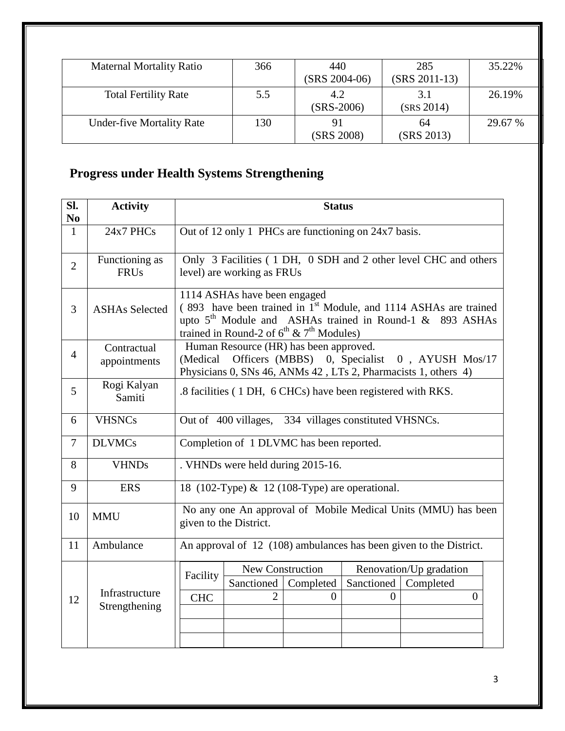| <b>Maternal Mortality Ratio</b>  | 366 | 440<br>$(SRS 2004-06)$ | 285<br>$(SRS 2011-13)$ | 35.22%  |
|----------------------------------|-----|------------------------|------------------------|---------|
| <b>Total Fertility Rate</b>      | 5.5 | 4.2<br>$(SRS-2006)$    | 3.1<br>(SRS 2014)      | 26.19%  |
| <b>Under-five Mortality Rate</b> | 130 | (SRS 2008)             | 64<br>(SRS 2013)       | 29.67 % |

## **Progress under Health Systems Strengthening**

| SI.<br>N <sub>0</sub> | <b>Activity</b>               | <b>Status</b>                                                                           |                                                                                                                                                                                                                                            |           |                                                |                                                                                                                          |  |
|-----------------------|-------------------------------|-----------------------------------------------------------------------------------------|--------------------------------------------------------------------------------------------------------------------------------------------------------------------------------------------------------------------------------------------|-----------|------------------------------------------------|--------------------------------------------------------------------------------------------------------------------------|--|
| $\mathbf{1}$          | 24x7 PHCs                     | Out of 12 only 1 PHCs are functioning on 24x7 basis.                                    |                                                                                                                                                                                                                                            |           |                                                |                                                                                                                          |  |
| $\overline{2}$        | Functioning as<br><b>FRUs</b> |                                                                                         | Only 3 Facilities (1 DH, 0 SDH and 2 other level CHC and others<br>level) are working as FRUs                                                                                                                                              |           |                                                |                                                                                                                          |  |
| 3                     | <b>ASHAs Selected</b>         |                                                                                         | 1114 ASHAs have been engaged<br>(893 have been trained in 1 <sup>st</sup> Module, and 1114 ASHAs are trained<br>upto 5 <sup>th</sup> Module and ASHAs trained in Round-1 & 893 ASHAs<br>trained in Round-2 of $6^{th}$ & $7^{th}$ Modules) |           |                                                |                                                                                                                          |  |
| $\overline{4}$        | Contractual<br>appointments   |                                                                                         | Human Resource (HR) has been approved.                                                                                                                                                                                                     |           |                                                | (Medical Officers (MBBS) 0, Specialist 0, AYUSH Mos/17<br>Physicians 0, SNs 46, ANMs 42, LTs 2, Pharmacists 1, others 4) |  |
| 5                     | Rogi Kalyan<br>Samiti         | .8 facilities (1 DH, 6 CHCs) have been registered with RKS.                             |                                                                                                                                                                                                                                            |           |                                                |                                                                                                                          |  |
| 6                     | <b>VHSNCs</b>                 | Out of 400 villages, 334 villages constituted VHSNCs.                                   |                                                                                                                                                                                                                                            |           |                                                |                                                                                                                          |  |
| $\overline{7}$        | <b>DLVMCs</b>                 | Completion of 1 DLVMC has been reported.                                                |                                                                                                                                                                                                                                            |           |                                                |                                                                                                                          |  |
| 8                     | <b>VHNDs</b>                  |                                                                                         | . VHNDs were held during 2015-16.                                                                                                                                                                                                          |           |                                                |                                                                                                                          |  |
| 9                     | <b>ERS</b>                    |                                                                                         |                                                                                                                                                                                                                                            |           | 18 (102-Type) & 12 (108-Type) are operational. |                                                                                                                          |  |
| 10                    | <b>MMU</b>                    | No any one An approval of Mobile Medical Units (MMU) has been<br>given to the District. |                                                                                                                                                                                                                                            |           |                                                |                                                                                                                          |  |
| 11                    | Ambulance                     | An approval of 12 (108) ambulances has been given to the District.                      |                                                                                                                                                                                                                                            |           |                                                |                                                                                                                          |  |
|                       |                               | Facility                                                                                | New Construction                                                                                                                                                                                                                           |           |                                                | Renovation/Up gradation                                                                                                  |  |
|                       | Infrastructure                |                                                                                         | Sanctioned                                                                                                                                                                                                                                 | Completed | Sanctioned                                     | Completed                                                                                                                |  |
| 12                    | Strengthening                 | <b>CHC</b>                                                                              | $\overline{2}$                                                                                                                                                                                                                             | $\theta$  | $\Omega$                                       | $\overline{0}$                                                                                                           |  |
|                       |                               |                                                                                         |                                                                                                                                                                                                                                            |           |                                                |                                                                                                                          |  |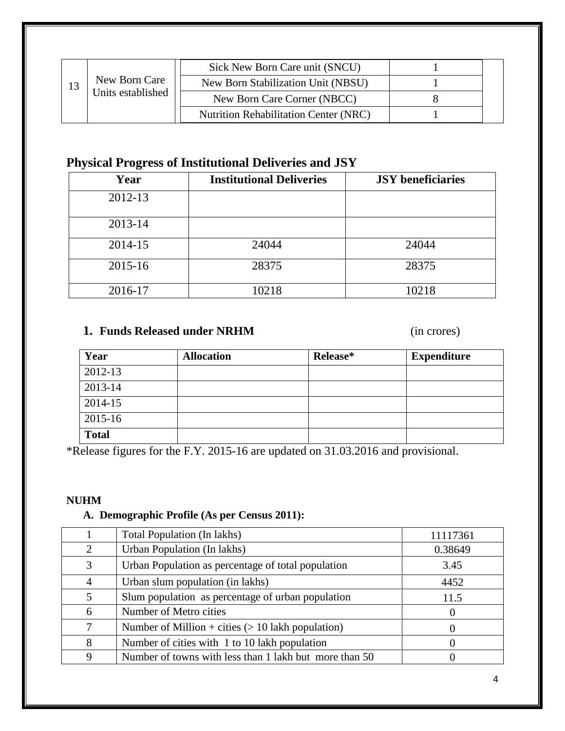|    |                   | Sick New Born Care unit (SNCU)        |  |
|----|-------------------|---------------------------------------|--|
| 13 | New Born Care     | New Born Stabilization Unit (NBSU)    |  |
|    | Units established | New Born Care Corner (NBCC)           |  |
|    |                   | Nutrition Rehabilitation Center (NRC) |  |

#### **Physical Progress of Institutional Deliveries and JSY**

| Year    | <b>Institutional Deliveries</b> | <b>JSY</b> beneficiaries |
|---------|---------------------------------|--------------------------|
| 2012-13 |                                 |                          |
| 2013-14 |                                 |                          |
| 2014-15 | 24044                           | 24044                    |
| 2015-16 | 28375                           | 28375                    |
| 2016-17 | 10218                           | 10218                    |

#### **1. Funds Released under NRHM** (in crores)

| Year         | <b>Allocation</b> | Release* | <b>Expenditure</b> |
|--------------|-------------------|----------|--------------------|
| 2012-13      |                   |          |                    |
| 2013-14      |                   |          |                    |
| 2014-15      |                   |          |                    |
| 2015-16      |                   |          |                    |
| <b>Total</b> |                   |          |                    |

\*Release figures for the F.Y. 2015-16 are updated on 31.03.2016 and provisional.

#### **NUHM**

#### **A. Demographic Profile (As per Census 2011):**

|   | <b>Total Population (In lakhs)</b>                     | 11117361         |
|---|--------------------------------------------------------|------------------|
| 2 | Urban Population (In lakhs)                            | 0.38649          |
| 3 | Urban Population as percentage of total population     | 3.45             |
| 4 | Urban slum population (in lakhs)                       | 4452             |
| 5 | Slum population as percentage of urban population      | 11.5             |
| 6 | Number of Metro cities                                 | $\theta$         |
| 7 | Number of Million + cities $(> 10$ lakh population)    | $\theta$         |
| 8 | Number of cities with 1 to 10 lakh population          | $\left( \right)$ |
| 9 | Number of towns with less than 1 lakh but more than 50 |                  |